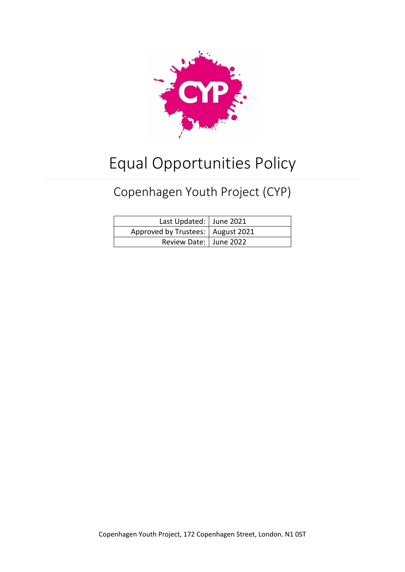

# Equal Opportunities Policy

# Copenhagen Youth Project (CYP)

| Last Updated: June 2021             |  |
|-------------------------------------|--|
| Approved by Trustees:   August 2021 |  |
| Review Date:   June 2022            |  |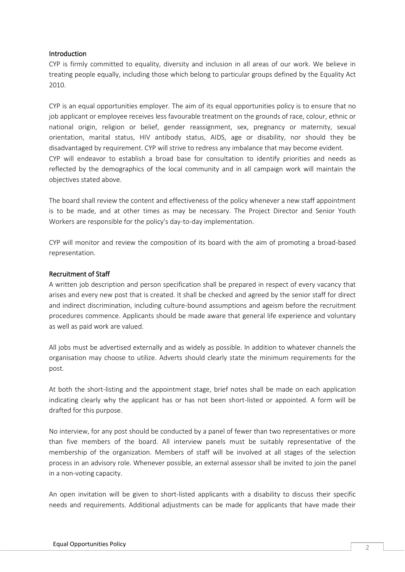#### Introduction

CYP is firmly committed to equality, diversity and inclusion in all areas of our work. We believe in treating people equally, including those which belong to particular groups defined by the Equality Act 2010.

CYP is an equal opportunities employer. The aim of its equal opportunities policy is to ensure that no job applicant or employee receives less favourable treatment on the grounds of race, colour, ethnic or national origin, religion or belief, gender reassignment, sex, pregnancy or maternity, sexual orientation, marital status, HIV antibody status, AIDS, age or disability, nor should they be disadvantaged by requirement. CYP will strive to redress any imbalance that may become evident. CYP will endeavor to establish a broad base for consultation to identify priorities and needs as reflected by the demographics of the local community and in all campaign work will maintain the objectives stated above.

The board shall review the content and effectiveness of the policy whenever a new staff appointment is to be made, and at other times as may be necessary. The Project Director and Senior Youth Workers are responsible for the policy's day-to-day implementation.

CYP will monitor and review the composition of its board with the aim of promoting a broad-based representation.

#### Recruitment of Staff

A written job description and person specification shall be prepared in respect of every vacancy that arises and every new post that is created. It shall be checked and agreed by the senior staff for direct and indirect discrimination, including culture-bound assumptions and ageism before the recruitment procedures commence. Applicants should be made aware that general life experience and voluntary as well as paid work are valued.

All jobs must be advertised externally and as widely as possible. In addition to whatever channels the organisation may choose to utilize. Adverts should clearly state the minimum requirements for the post.

At both the short-listing and the appointment stage, brief notes shall be made on each application indicating clearly why the applicant has or has not been short-listed or appointed. A form will be drafted for this purpose.

No interview, for any post should be conducted by a panel of fewer than two representatives or more than five members of the board. All interview panels must be suitably representative of the membership of the organization. Members of staff will be involved at all stages of the selection process in an advisory role. Whenever possible, an external assessor shall be invited to join the panel in a non-voting capacity.

An open invitation will be given to short-listed applicants with a disability to discuss their specific needs and requirements. Additional adjustments can be made for applicants that have made their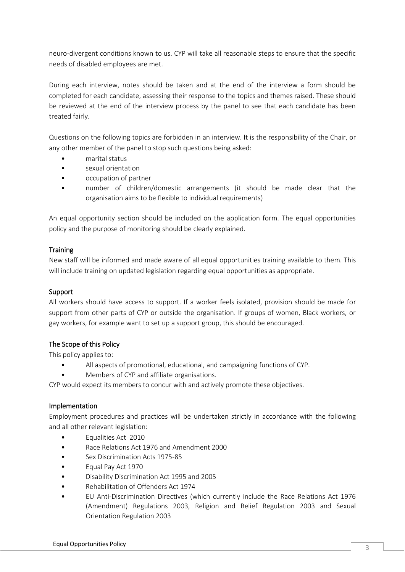neuro-divergent conditions known to us. CYP will take all reasonable steps to ensure that the specific needs of disabled employees are met.

During each interview, notes should be taken and at the end of the interview a form should be completed for each candidate, assessing their response to the topics and themes raised. These should be reviewed at the end of the interview process by the panel to see that each candidate has been treated fairly.

Questions on the following topics are forbidden in an interview. It is the responsibility of the Chair, or any other member of the panel to stop such questions being asked:

- marital status
- sexual orientation
- occupation of partner
- number of children/domestic arrangements (it should be made clear that the organisation aims to be flexible to individual requirements)

An equal opportunity section should be included on the application form. The equal opportunities policy and the purpose of monitoring should be clearly explained.

## **Training**

New staff will be informed and made aware of all equal opportunities training available to them. This will include training on updated legislation regarding equal opportunities as appropriate.

## Support

All workers should have access to support. If a worker feels isolated, provision should be made for support from other parts of CYP or outside the organisation. If groups of women, Black workers, or gay workers, for example want to set up a support group, this should be encouraged.

## The Scope of this Policy

This policy applies to:

- All aspects of promotional, educational, and campaigning functions of CYP.
- Members of CYP and affiliate organisations.

CYP would expect its members to concur with and actively promote these objectives.

#### Implementation

Employment procedures and practices will be undertaken strictly in accordance with the following and all other relevant legislation:

- Equalities Act 2010
- Race Relations Act 1976 and Amendment 2000
- Sex Discrimination Acts 1975-85
- Equal Pay Act 1970
- Disability Discrimination Act 1995 and 2005
- Rehabilitation of Offenders Act 1974
- EU Anti-Discrimination Directives (which currently include the Race Relations Act 1976 (Amendment) Regulations 2003, Religion and Belief Regulation 2003 and Sexual Orientation Regulation 2003